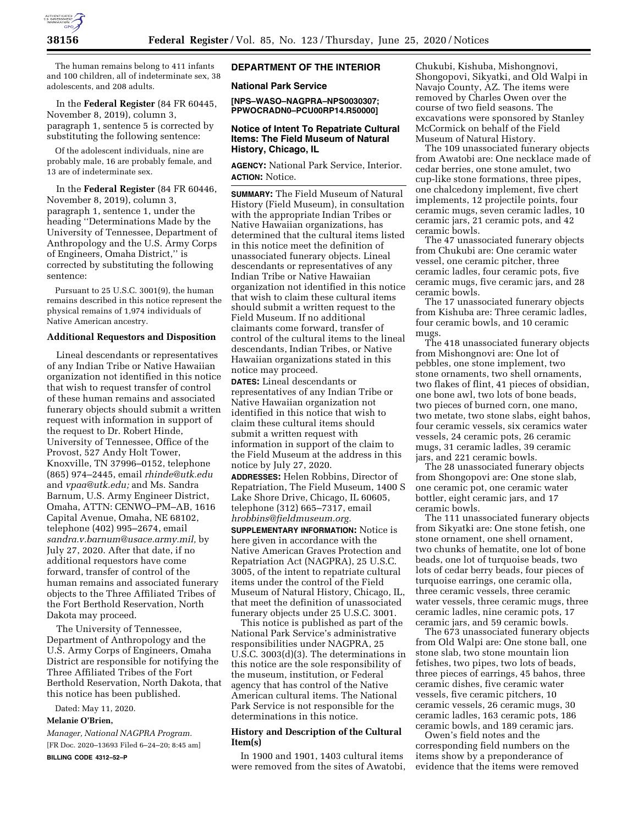

The human remains belong to 411 infants and 100 children, all of indeterminate sex, 38 adolescents, and 208 adults.

In the **Federal Register** (84 FR 60445, November 8, 2019), column 3, paragraph 1, sentence 5 is corrected by substituting the following sentence:

Of the adolescent individuals, nine are probably male, 16 are probably female, and 13 are of indeterminate sex.

In the **Federal Register** (84 FR 60446, November 8, 2019), column 3, paragraph 1, sentence 1, under the heading ''Determinations Made by the University of Tennessee, Department of Anthropology and the U.S. Army Corps of Engineers, Omaha District,'' is corrected by substituting the following sentence:

Pursuant to 25 U.S.C. 3001(9), the human remains described in this notice represent the physical remains of 1,974 individuals of Native American ancestry.

#### **Additional Requestors and Disposition**

Lineal descendants or representatives of any Indian Tribe or Native Hawaiian organization not identified in this notice that wish to request transfer of control of these human remains and associated funerary objects should submit a written request with information in support of the request to Dr. Robert Hinde, University of Tennessee, Office of the Provost, 527 Andy Holt Tower, Knoxville, TN 37996–0152, telephone (865) 974–2445, email *[rhinde@utk.edu](mailto:rhinde@utk.edu)*  and *[vpaa@utk.edu;](mailto:vpaa@utk.edu)* and Ms. Sandra Barnum, U.S. Army Engineer District, Omaha, ATTN: CENWO–PM–AB, 1616 Capital Avenue, Omaha, NE 68102, telephone (402) 995–2674, email *[sandra.v.barnum@usace.army.mil,](mailto:sandra.v.barnum@usace.army.mil)* by July 27, 2020. After that date, if no additional requestors have come forward, transfer of control of the human remains and associated funerary objects to the Three Affiliated Tribes of the Fort Berthold Reservation, North Dakota may proceed.

The University of Tennessee, Department of Anthropology and the U.S. Army Corps of Engineers, Omaha District are responsible for notifying the Three Affiliated Tribes of the Fort Berthold Reservation, North Dakota, that this notice has been published.

Dated: May 11, 2020.

# **Melanie O'Brien,**

*Manager, National NAGPRA Program.*  [FR Doc. 2020–13693 Filed 6–24–20; 8:45 am] **BILLING CODE 4312–52–P** 

# **DEPARTMENT OF THE INTERIOR**

# **National Park Service**

**[NPS–WASO–NAGPRA–NPS0030307; PPWOCRADN0–PCU00RP14.R50000]** 

#### **Notice of Intent To Repatriate Cultural Items: The Field Museum of Natural History, Chicago, IL**

**AGENCY:** National Park Service, Interior. **ACTION:** Notice.

**SUMMARY:** The Field Museum of Natural History (Field Museum), in consultation with the appropriate Indian Tribes or Native Hawaiian organizations, has determined that the cultural items listed in this notice meet the definition of unassociated funerary objects. Lineal descendants or representatives of any Indian Tribe or Native Hawaiian organization not identified in this notice that wish to claim these cultural items should submit a written request to the Field Museum. If no additional claimants come forward, transfer of control of the cultural items to the lineal descendants, Indian Tribes, or Native Hawaiian organizations stated in this notice may proceed.

**DATES:** Lineal descendants or representatives of any Indian Tribe or Native Hawaiian organization not identified in this notice that wish to claim these cultural items should submit a written request with information in support of the claim to the Field Museum at the address in this notice by July 27, 2020.

**ADDRESSES:** Helen Robbins, Director of Repatriation, The Field Museum, 1400 S Lake Shore Drive, Chicago, IL 60605, telephone (312) 665–7317, email *[hrobbins@fieldmuseum.org.](mailto:hrobbins@fieldmuseum.org)* 

**SUPPLEMENTARY INFORMATION:** Notice is here given in accordance with the Native American Graves Protection and Repatriation Act (NAGPRA), 25 U.S.C. 3005, of the intent to repatriate cultural items under the control of the Field Museum of Natural History, Chicago, IL, that meet the definition of unassociated funerary objects under 25 U.S.C. 3001.

This notice is published as part of the National Park Service's administrative responsibilities under NAGPRA, 25 U.S.C. 3003(d)(3). The determinations in this notice are the sole responsibility of the museum, institution, or Federal agency that has control of the Native American cultural items. The National Park Service is not responsible for the determinations in this notice.

## **History and Description of the Cultural Item(s)**

In 1900 and 1901, 1403 cultural items were removed from the sites of Awatobi,

Chukubi, Kishuba, Mishongnovi, Shongopovi, Sikyatki, and Old Walpi in Navajo County, AZ. The items were removed by Charles Owen over the course of two field seasons. The excavations were sponsored by Stanley McCormick on behalf of the Field Museum of Natural History.

The 109 unassociated funerary objects from Awatobi are: One necklace made of cedar berries, one stone amulet, two cup-like stone formations, three pipes, one chalcedony implement, five chert implements, 12 projectile points, four ceramic mugs, seven ceramic ladles, 10 ceramic jars, 21 ceramic pots, and 42 ceramic bowls.

The 47 unassociated funerary objects from Chukubi are: One ceramic water vessel, one ceramic pitcher, three ceramic ladles, four ceramic pots, five ceramic mugs, five ceramic jars, and 28 ceramic bowls.

The 17 unassociated funerary objects from Kishuba are: Three ceramic ladles, four ceramic bowls, and 10 ceramic mugs.

The 418 unassociated funerary objects from Mishongnovi are: One lot of pebbles, one stone implement, two stone ornaments, two shell ornaments, two flakes of flint, 41 pieces of obsidian, one bone awl, two lots of bone beads, two pieces of burned corn, one mano, two metate, two stone slabs, eight bahos, four ceramic vessels, six ceramics water vessels, 24 ceramic pots, 26 ceramic mugs, 31 ceramic ladles, 39 ceramic jars, and 221 ceramic bowls.

The 28 unassociated funerary objects from Shongopovi are: One stone slab, one ceramic pot, one ceramic water bottler, eight ceramic jars, and 17 ceramic bowls.

The 111 unassociated funerary objects from Sikyatki are: One stone fetish, one stone ornament, one shell ornament, two chunks of hematite, one lot of bone beads, one lot of turquoise beads, two lots of cedar berry beads, four pieces of turquoise earrings, one ceramic olla, three ceramic vessels, three ceramic water vessels, three ceramic mugs, three ceramic ladles, nine ceramic pots, 17 ceramic jars, and 59 ceramic bowls.

The 673 unassociated funerary objects from Old Walpi are: One stone ball, one stone slab, two stone mountain lion fetishes, two pipes, two lots of beads, three pieces of earrings, 45 bahos, three ceramic dishes, five ceramic water vessels, five ceramic pitchers, 10 ceramic vessels, 26 ceramic mugs, 30 ceramic ladles, 163 ceramic pots, 186 ceramic bowls, and 189 ceramic jars.

Owen's field notes and the corresponding field numbers on the items show by a preponderance of evidence that the items were removed